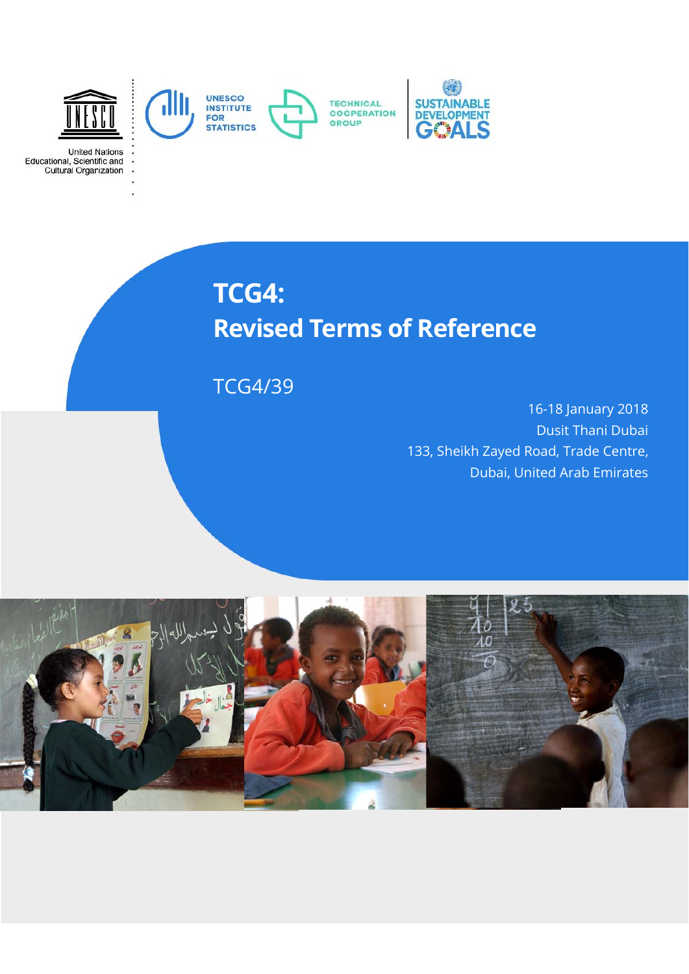

United Nations<br>Educational, Scientific and<br>Cultural Organization

# **TCG4: Revised Terms of Reference**

TCG4/39

16-18 January 2018 Dusit Thani Dubai 133, Sheikh Zayed Road, Trade Centre, Dubai, United Arab Emirates

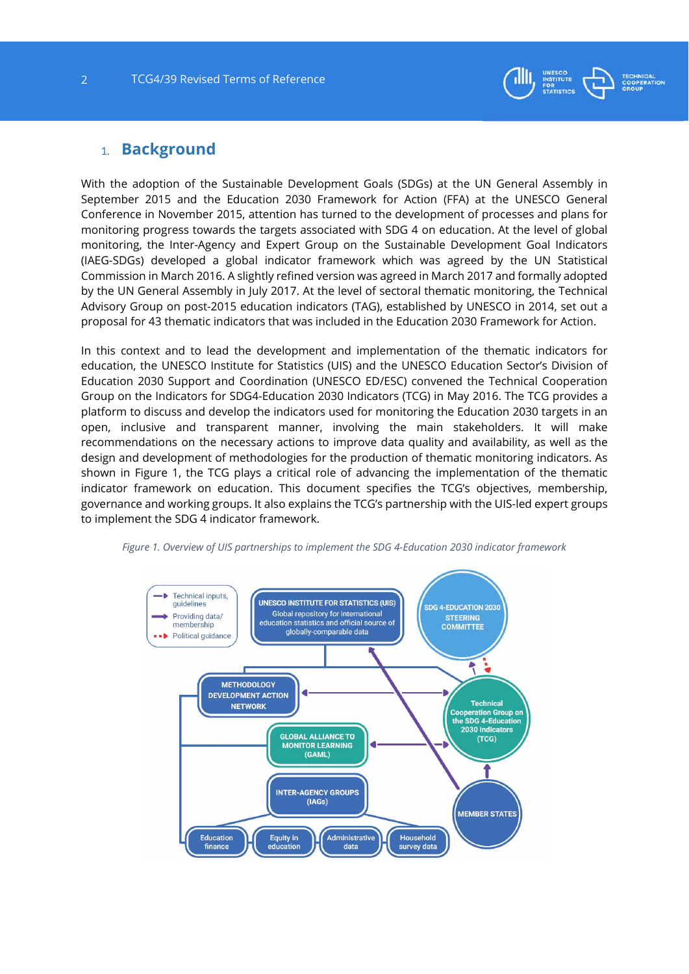

### 1. **Background**

With the adoption of the Sustainable Development Goals (SDGs) at the UN General Assembly in September 2015 and the Education 2030 Framework for Action (FFA) at the UNESCO General Conference in November 2015, attention has turned to the development of processes and plans for monitoring progress towards the targets associated with SDG 4 on education. At the level of global monitoring, the Inter-Agency and Expert Group on the Sustainable Development Goal Indicators (IAEG-SDGs) developed a global indicator framework which was agreed by the UN Statistical Commission in March 2016. A slightly refined version was agreed in March 2017 and formally adopted by the UN General Assembly in July 2017. At the level of sectoral thematic monitoring, the Technical Advisory Group on post-2015 education indicators (TAG), established by UNESCO in 2014, set out a proposal for 43 thematic indicators that was included in the Education 2030 Framework for Action.

In this context and to lead the development and implementation of the thematic indicators for education, the UNESCO Institute for Statistics (UIS) and the UNESCO Education Sector's Division of Education 2030 Support and Coordination (UNESCO ED/ESC) convened the Technical Cooperation Group on the Indicators for SDG4-Education 2030 Indicators (TCG) in May 2016. The TCG provides a platform to discuss and develop the indicators used for monitoring the Education 2030 targets in an open, inclusive and transparent manner, involving the main stakeholders. It will make recommendations on the necessary actions to improve data quality and availability, as well as the design and development of methodologies for the production of thematic monitoring indicators. As shown in Figure 1, the TCG plays a critical role of advancing the implementation of the thematic indicator framework on education. This document specifies the TCG's objectives, membership, governance and working groups. It also explains the TCG's partnership with the UIS-led expert groups to implement the SDG 4 indicator framework.



*Figure 1. Overview of UIS partnerships to implement the SDG 4-Education 2030 indicator framework*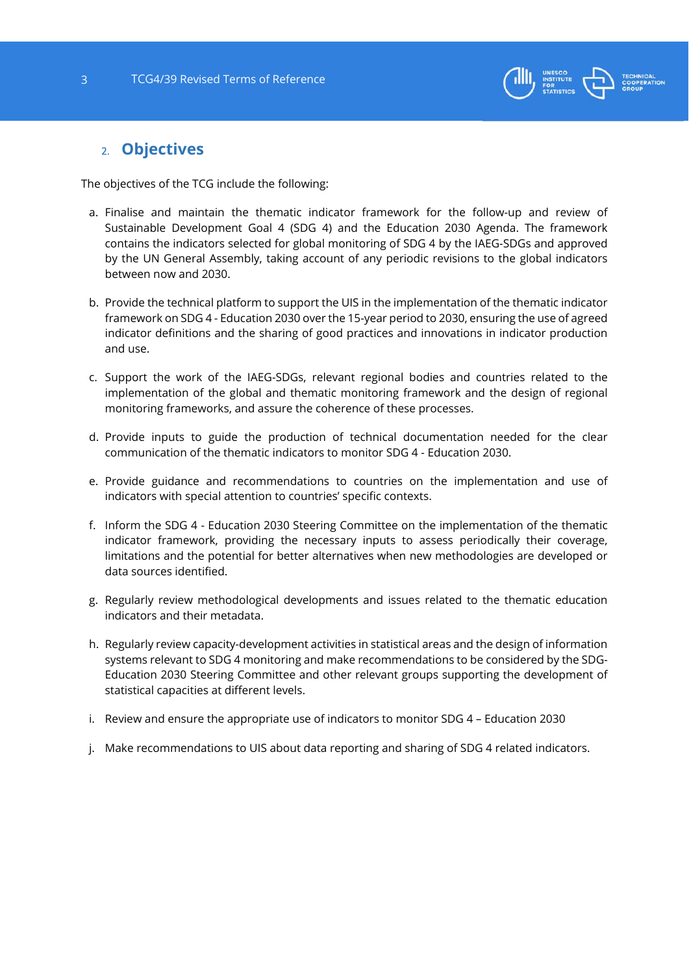

## 2. **Objectives**

The objectives of the TCG include the following:

- a. Finalise and maintain the thematic indicator framework for the follow-up and review of Sustainable Development Goal 4 (SDG 4) and the Education 2030 Agenda. The framework contains the indicators selected for global monitoring of SDG 4 by the IAEG-SDGs and approved by the UN General Assembly, taking account of any periodic revisions to the global indicators between now and 2030.
- b. Provide the technical platform to support the UIS in the implementation of the thematic indicator framework on SDG 4 - Education 2030 over the 15-year period to 2030, ensuring the use of agreed indicator definitions and the sharing of good practices and innovations in indicator production and use.
- c. Support the work of the IAEG-SDGs, relevant regional bodies and countries related to the implementation of the global and thematic monitoring framework and the design of regional monitoring frameworks, and assure the coherence of these processes.
- d. Provide inputs to guide the production of technical documentation needed for the clear communication of the thematic indicators to monitor SDG 4 - Education 2030.
- e. Provide guidance and recommendations to countries on the implementation and use of indicators with special attention to countries' specific contexts.
- f. Inform the SDG 4 Education 2030 Steering Committee on the implementation of the thematic indicator framework, providing the necessary inputs to assess periodically their coverage, limitations and the potential for better alternatives when new methodologies are developed or data sources identified.
- g. Regularly review methodological developments and issues related to the thematic education indicators and their metadata.
- h. Regularly review capacity-development activities in statistical areas and the design of information systems relevant to SDG 4 monitoring and make recommendations to be considered by the SDG-Education 2030 Steering Committee and other relevant groups supporting the development of statistical capacities at different levels.
- i. Review and ensure the appropriate use of indicators to monitor SDG 4 Education 2030
- j. Make recommendations to UIS about data reporting and sharing of SDG 4 related indicators.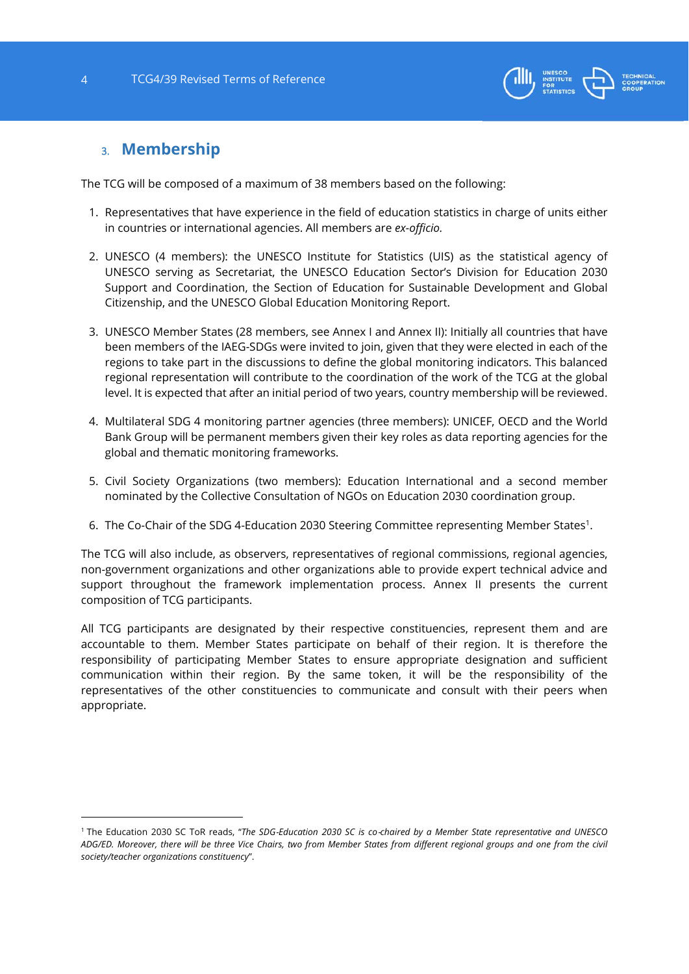

# 3. **Membership**

1

The TCG will be composed of a maximum of 38 members based on the following:

- 1. Representatives that have experience in the field of education statistics in charge of units either in countries or international agencies. All members are *ex-officio.*
- 2. UNESCO (4 members): the UNESCO Institute for Statistics (UIS) as the statistical agency of UNESCO serving as Secretariat, the UNESCO Education Sector's Division for Education 2030 Support and Coordination, the Section of Education for Sustainable Development and Global Citizenship, and the UNESCO Global Education Monitoring Report.
- 3. UNESCO Member States (28 members, see Annex I and Annex II): Initially all countries that have been members of the IAEG-SDGs were invited to join, given that they were elected in each of the regions to take part in the discussions to define the global monitoring indicators. This balanced regional representation will contribute to the coordination of the work of the TCG at the global level. It is expected that after an initial period of two years, country membership will be reviewed.
- 4. Multilateral SDG 4 monitoring partner agencies (three members): UNICEF, OECD and the World Bank Group will be permanent members given their key roles as data reporting agencies for the global and thematic monitoring frameworks.
- 5. Civil Society Organizations (two members): Education International and a second member nominated by the Collective Consultation of NGOs on Education 2030 coordination group.
- 6. The Co-Chair of the SDG 4-Education 2030 Steering Committee representing Member States1.

The TCG will also include, as observers, representatives of regional commissions, regional agencies, non-government organizations and other organizations able to provide expert technical advice and support throughout the framework implementation process. Annex II presents the current composition of TCG participants.

All TCG participants are designated by their respective constituencies, represent them and are accountable to them. Member States participate on behalf of their region. It is therefore the responsibility of participating Member States to ensure appropriate designation and sufficient communication within their region. By the same token, it will be the responsibility of the representatives of the other constituencies to communicate and consult with their peers when appropriate.

<sup>1</sup> The Education 2030 SC ToR reads, "*The SDG*‐*Education 2030 SC is co*‐*chaired by a Member State representative and UNESCO ADG/ED. Moreover, there will be three Vice Chairs, two from Member States from different regional groups and one from the civil society/teacher organizations constituency*".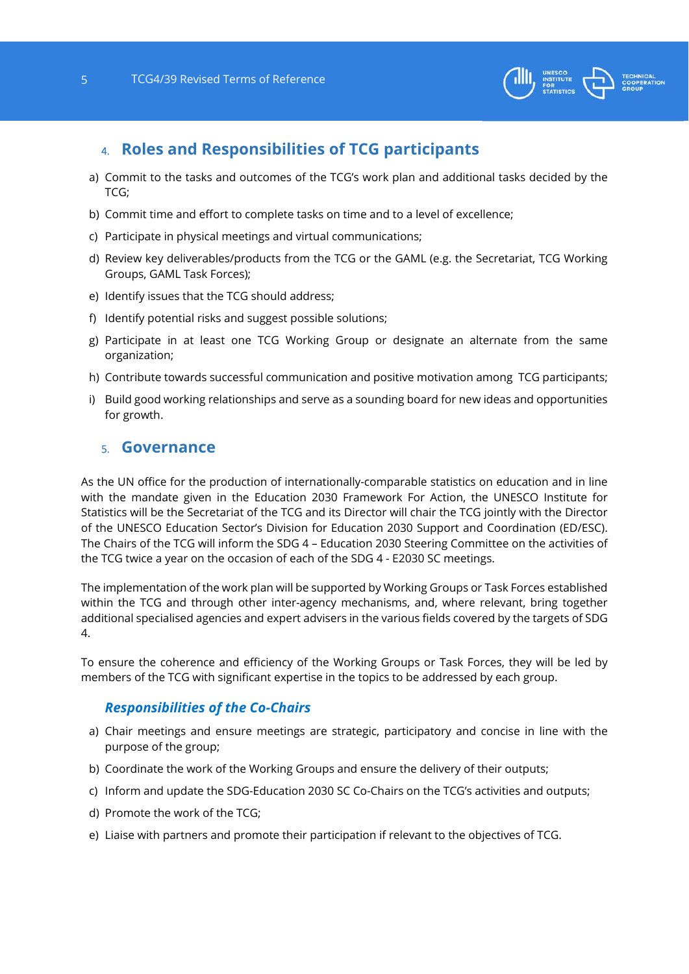

# 4. **Roles and Responsibilities of TCG participants**

- a) Commit to the tasks and outcomes of the TCG's work plan and additional tasks decided by the TCG;
- b) Commit time and effort to complete tasks on time and to a level of excellence;
- c) Participate in physical meetings and virtual communications;
- d) Review key deliverables/products from the TCG or the GAML (e.g. the Secretariat, TCG Working Groups, GAML Task Forces);
- e) Identify issues that the TCG should address;
- f) Identify potential risks and suggest possible solutions;
- g) Participate in at least one TCG Working Group or designate an alternate from the same organization;
- h) Contribute towards successful communication and positive motivation among TCG participants;
- i) Build good working relationships and serve as a sounding board for new ideas and opportunities for growth.

#### 5. **Governance**

As the UN office for the production of internationally-comparable statistics on education and in line with the mandate given in the Education 2030 Framework For Action, the UNESCO Institute for Statistics will be the Secretariat of the TCG and its Director will chair the TCG jointly with the Director of the UNESCO Education Sector's Division for Education 2030 Support and Coordination (ED/ESC). The Chairs of the TCG will inform the SDG 4 – Education 2030 Steering Committee on the activities of the TCG twice a year on the occasion of each of the SDG 4 - E2030 SC meetings.

The implementation of the work plan will be supported by Working Groups or Task Forces established within the TCG and through other inter-agency mechanisms, and, where relevant, bring together additional specialised agencies and expert advisers in the various fields covered by the targets of SDG 4.

To ensure the coherence and efficiency of the Working Groups or Task Forces, they will be led by members of the TCG with significant expertise in the topics to be addressed by each group.

#### *Responsibilities of the Co-Chairs*

- a) Chair meetings and ensure meetings are strategic, participatory and concise in line with the purpose of the group;
- b) Coordinate the work of the Working Groups and ensure the delivery of their outputs;
- c) Inform and update the SDG-Education 2030 SC Co-Chairs on the TCG's activities and outputs;
- d) Promote the work of the TCG;
- e) Liaise with partners and promote their participation if relevant to the objectives of TCG.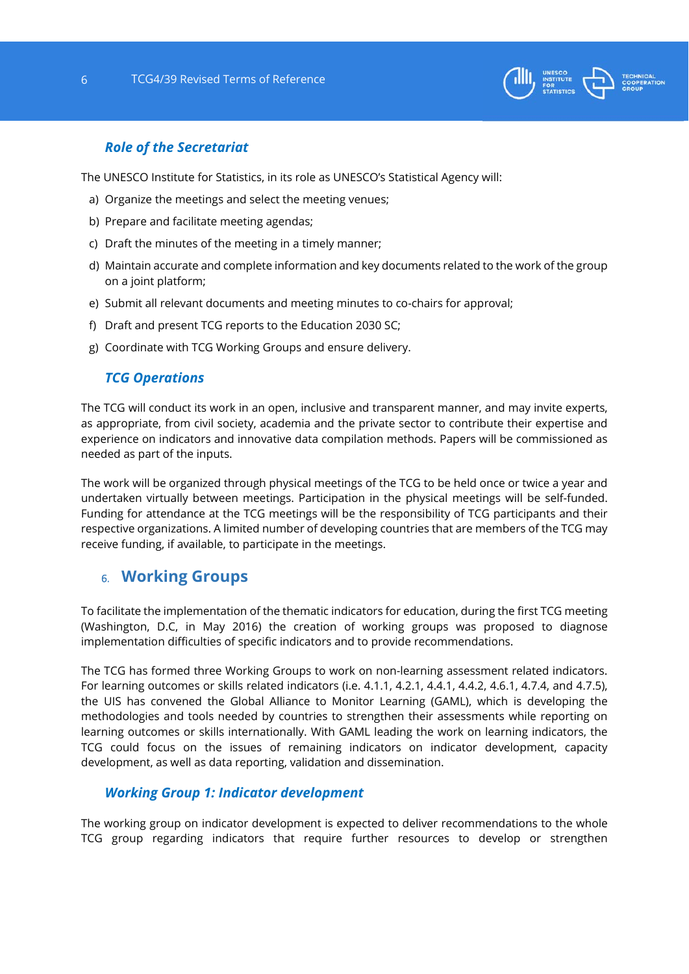

#### *Role of the Secretariat*

The UNESCO Institute for Statistics, in its role as UNESCO's Statistical Agency will:

- a) Organize the meetings and select the meeting venues;
- b) Prepare and facilitate meeting agendas;
- c) Draft the minutes of the meeting in a timely manner;
- d) Maintain accurate and complete information and key documents related to the work of the group on a joint platform;
- e) Submit all relevant documents and meeting minutes to co-chairs for approval;
- f) Draft and present TCG reports to the Education 2030 SC;
- g) Coordinate with TCG Working Groups and ensure delivery.

#### *TCG Operations*

The TCG will conduct its work in an open, inclusive and transparent manner, and may invite experts, as appropriate, from civil society, academia and the private sector to contribute their expertise and experience on indicators and innovative data compilation methods. Papers will be commissioned as needed as part of the inputs.

The work will be organized through physical meetings of the TCG to be held once or twice a year and undertaken virtually between meetings. Participation in the physical meetings will be self-funded. Funding for attendance at the TCG meetings will be the responsibility of TCG participants and their respective organizations. A limited number of developing countries that are members of the TCG may receive funding, if available, to participate in the meetings.

#### 6. **Working Groups**

To facilitate the implementation of the thematic indicators for education, during the first TCG meeting (Washington, D.C, in May 2016) the creation of working groups was proposed to diagnose implementation difficulties of specific indicators and to provide recommendations.

The TCG has formed three Working Groups to work on non-learning assessment related indicators. For learning outcomes or skills related indicators (i.e. 4.1.1, 4.2.1, 4.4.1, 4.4.2, 4.6.1, 4.7.4, and 4.7.5), the UIS has convened the Global Alliance to Monitor Learning (GAML), which is developing the methodologies and tools needed by countries to strengthen their assessments while reporting on learning outcomes or skills internationally. With GAML leading the work on learning indicators, the TCG could focus on the issues of remaining indicators on indicator development, capacity development, as well as data reporting, validation and dissemination.

#### *Working Group 1: Indicator development*

The working group on indicator development is expected to deliver recommendations to the whole TCG group regarding indicators that require further resources to develop or strengthen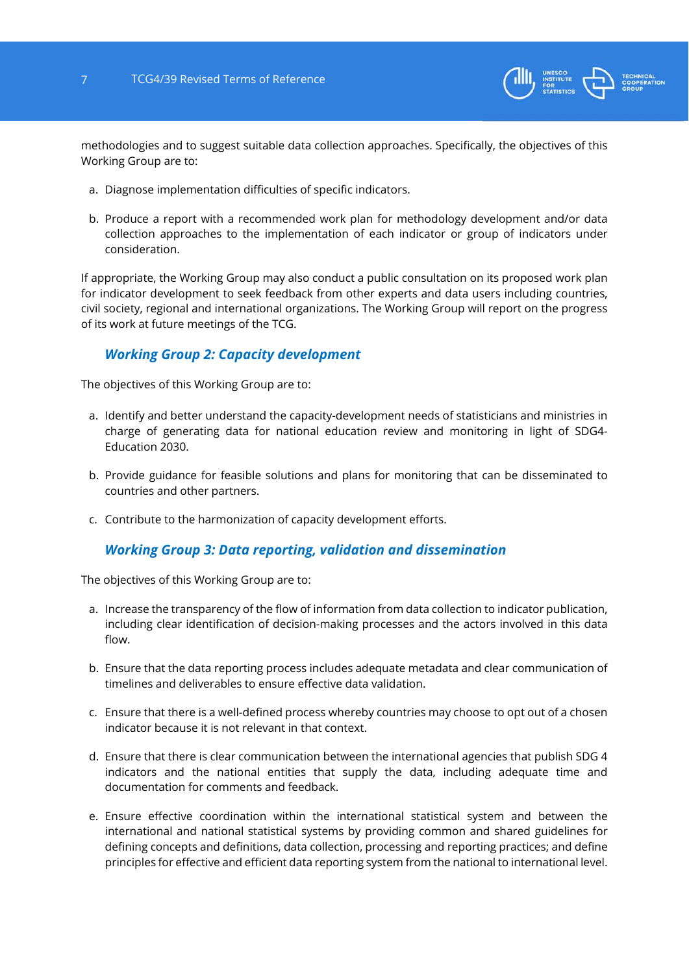

methodologies and to suggest suitable data collection approaches. Specifically, the objectives of this Working Group are to:

- a. Diagnose implementation difficulties of specific indicators.
- b. Produce a report with a recommended work plan for methodology development and/or data collection approaches to the implementation of each indicator or group of indicators under consideration.

If appropriate, the Working Group may also conduct a public consultation on its proposed work plan for indicator development to seek feedback from other experts and data users including countries, civil society, regional and international organizations. The Working Group will report on the progress of its work at future meetings of the TCG.

#### *Working Group 2: Capacity development*

The objectives of this Working Group are to:

- a. Identify and better understand the capacity-development needs of statisticians and ministries in charge of generating data for national education review and monitoring in light of SDG4- Education 2030.
- b. Provide guidance for feasible solutions and plans for monitoring that can be disseminated to countries and other partners.
- c. Contribute to the harmonization of capacity development efforts.

#### *Working Group 3: Data reporting, validation and dissemination*

The objectives of this Working Group are to:

- a. Increase the transparency of the flow of information from data collection to indicator publication, including clear identification of decision-making processes and the actors involved in this data flow.
- b. Ensure that the data reporting process includes adequate metadata and clear communication of timelines and deliverables to ensure effective data validation.
- c. Ensure that there is a well-defined process whereby countries may choose to opt out of a chosen indicator because it is not relevant in that context.
- d. Ensure that there is clear communication between the international agencies that publish SDG 4 indicators and the national entities that supply the data, including adequate time and documentation for comments and feedback.
- e. Ensure effective coordination within the international statistical system and between the international and national statistical systems by providing common and shared guidelines for defining concepts and definitions, data collection, processing and reporting practices; and define principles for effective and efficient data reporting system from the national to international level.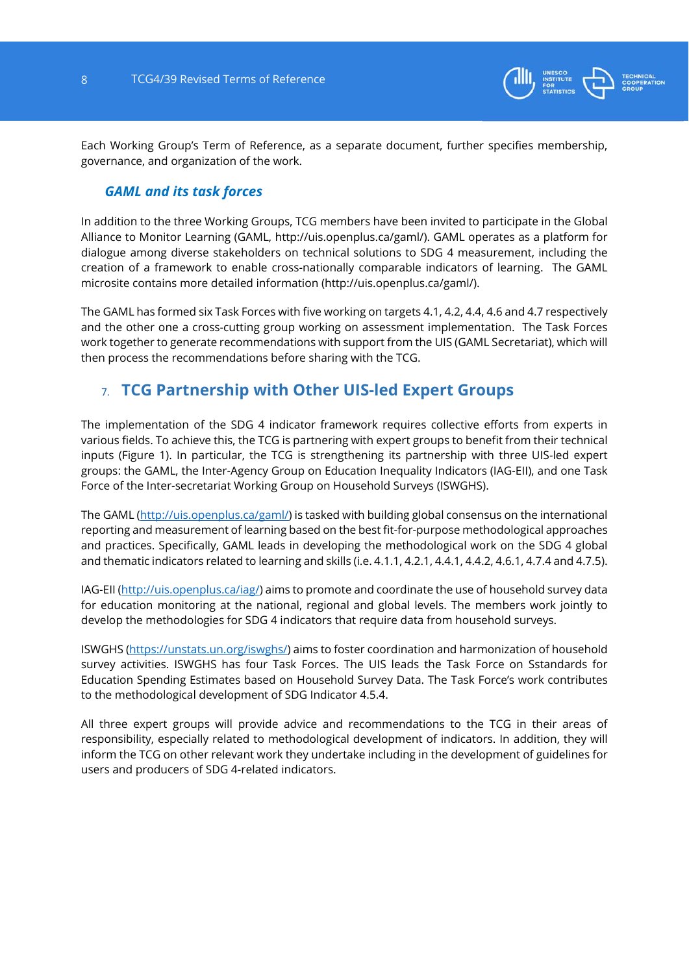

Each Working Group's Term of Reference, as a separate document, further specifies membership, governance, and organization of the work.

#### *GAML and its task forces*

In addition to the three Working Groups, TCG members have been invited to participate in the Global Alliance to Monitor Learning (GAML, http://uis.openplus.ca/gaml/). GAML operates as a platform for dialogue among diverse stakeholders on technical solutions to SDG 4 measurement, including the creation of a framework to enable cross-nationally comparable indicators of learning. The GAML microsite contains more detailed information (http://uis.openplus.ca/gaml/).

The GAML has formed six Task Forces with five working on targets 4.1, 4.2, 4.4, 4.6 and 4.7 respectively and the other one a cross-cutting group working on assessment implementation. The Task Forces work together to generate recommendations with support from the UIS (GAML Secretariat), which will then process the recommendations before sharing with the TCG.

# 7. **TCG Partnership with Other UIS-led Expert Groups**

The implementation of the SDG 4 indicator framework requires collective efforts from experts in various fields. To achieve this, the TCG is partnering with expert groups to benefit from their technical inputs (Figure 1). In particular, the TCG is strengthening its partnership with three UIS-led expert groups: the GAML, the Inter-Agency Group on Education Inequality Indicators (IAG-EII), and one Task Force of the Inter-secretariat Working Group on Household Surveys (ISWGHS).

The GAML (http://uis.openplus.ca/gaml/) is tasked with building global consensus on the international reporting and measurement of learning based on the best fit-for-purpose methodological approaches and practices. Specifically, GAML leads in developing the methodological work on the SDG 4 global and thematic indicators related to learning and skills (i.e. 4.1.1, 4.2.1, 4.4.1, 4.4.2, 4.6.1, 4.7.4 and 4.7.5).

IAG-EII (http://uis.openplus.ca/iag/) aims to promote and coordinate the use of household survey data for education monitoring at the national, regional and global levels. The members work jointly to develop the methodologies for SDG 4 indicators that require data from household surveys.

ISWGHS (https://unstats.un.org/iswghs/) aims to foster coordination and harmonization of household survey activities. ISWGHS has four Task Forces. The UIS leads the Task Force on Sstandards for Education Spending Estimates based on Household Survey Data. The Task Force's work contributes to the methodological development of SDG Indicator 4.5.4.

All three expert groups will provide advice and recommendations to the TCG in their areas of responsibility, especially related to methodological development of indicators. In addition, they will inform the TCG on other relevant work they undertake including in the development of guidelines for users and producers of SDG 4-related indicators.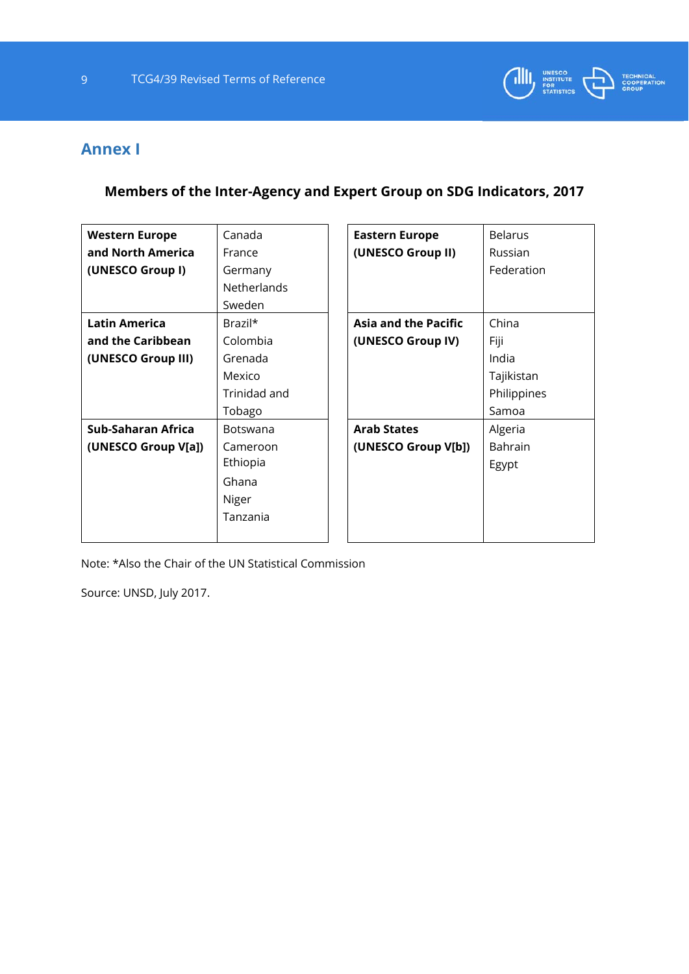

# **Annex I**

**Members of the Inter-Agency and Expert Group on SDG Indicators, 2017** 

| <b>Western Europe</b> | Canada             | <b>Eastern Europe</b>       | <b>Belarus</b> |
|-----------------------|--------------------|-----------------------------|----------------|
| and North America     | France             | (UNESCO Group II)           | Russian        |
| (UNESCO Group I)      | Germany            |                             | Federation     |
|                       | <b>Netherlands</b> |                             |                |
|                       | Sweden             |                             |                |
| <b>Latin America</b>  | Brazil*            | <b>Asia and the Pacific</b> | China          |
| and the Caribbean     | Colombia           | (UNESCO Group IV)           | Fiji           |
| (UNESCO Group III)    | Grenada            |                             | India          |
|                       | Mexico             |                             | Tajikistan     |
|                       | Trinidad and       |                             | Philippines    |
|                       | Tobago             |                             | Samoa          |
| Sub-Saharan Africa    | <b>Botswana</b>    | <b>Arab States</b>          | Algeria        |
| (UNESCO Group V[a])   | Cameroon           | (UNESCO Group V[b])         | <b>Bahrain</b> |
|                       | Ethiopia           |                             | Egypt          |
|                       | Ghana              |                             |                |
|                       | Niger              |                             |                |
|                       | Tanzania           |                             |                |
|                       |                    |                             |                |

Note: \*Also the Chair of the UN Statistical Commission

Source: UNSD, July 2017.